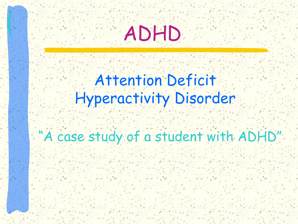

#### Attention Deficit Hyperactivity Disorder

#### "A case study of a student with ADHD"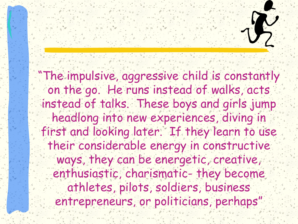

"The impulsive, aggressive child is constantly on the go. He runs instead of walks, acts instead of talks. These boys and girls jump headlong into new experiences, diving in first and looking later. If they learn to use their considerable energy in constructive ways, they can be energetic, creative, enthusiastic, charismatic- they become athletes, pilots, soldiers, business entrepreneurs, or politicians, perhaps"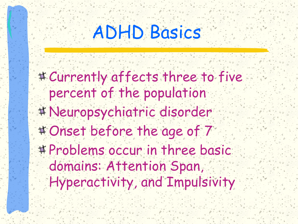## ADHD Basics

- Currently affects three to five percent of the population
- Neuropsychiatric disorder
- Onset before the age of 7
- # Problems occur in three basic domains: Attention Span,
	- Hyperactivity, and Impulsivity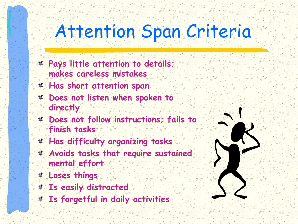## Attention Span Criteria

- **Pays little attention to details; makes careless mistakes**
- **Has short attention span**
- **Does not listen when spoken to directly**
- **Does not follow instructions; fails to finish tasks**
- **Has difficulty organizing tasks**
- **Avoids tasks that require sustained mental effort**
- **Loses things**
- **Is easily distracted**
- **Is forgetful in daily activities**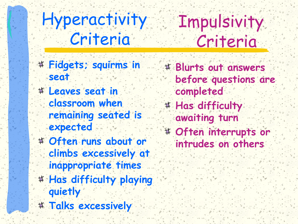Hyperactivity Criteria **Impulsivity** Criteria

- **Fidgets; squirms in seat**
- **Leaves seat in classroom when remaining seated is expected**
- **Often runs about or climbs excessively at inappropriate times**
- **Has difficulty playing quietly**
- **Talks excessively**
- **Blurts out answers before questions are completed**
- **Has difficulty awaiting turn**
- **Often interrupts or intrudes on others**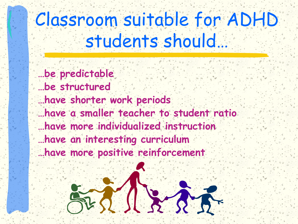#### Classroom suitable for ADHD students should…

- **…be predictable**
- **…be structured …have shorter work periods …have a smaller teacher to student ratio …have more individualized instruction**
- **…have an interesting curriculum**
- **…have more positive reinforcement**

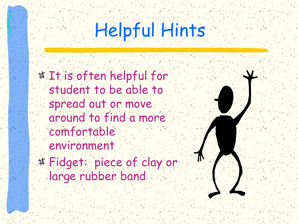# Helpful Hints

- # It is often helpful for student to be able to spread out or move around to find a more comfortable environment
- Fidget: piece of clay or large rubber band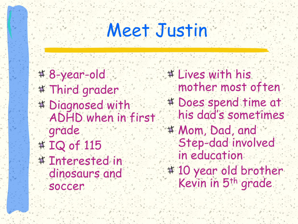## Meet Justin

8-year-old # Third grader Diagnosed with ADHD when in first grade # IQ of 115 # Interested in dinosaurs and soccer

# Lives with his mother most often Does spend time at his dad's sometimes Mom, Dad, and Step-dad involved in education 10 year old brother Kevin in 5th grade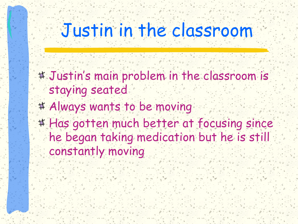## Justin in the classroom

- Justin's main problem in the classroom is staying seated
- Always wants to be moving
- # Has gotten much better at focusing since he began taking medication but he is still constantly moving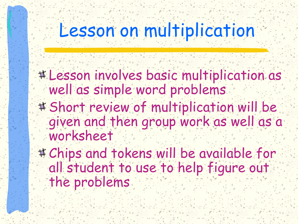## Lesson on multiplication

- Lesson involves basic multiplication as well as simple word problems
- Short review of multiplication will be given and then group work as well as a worksheet
- Chips and tokens will be available for all student to use to help figure out the problems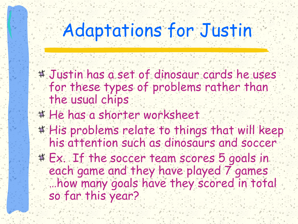## Adaptations for Justin

- Justin has a set of dinosaur cards he uses for these types of problems rather than the usual chips
- # He has a shorter worksheet
- # His problems relate to things that will keep his attention such as dinosaurs and soccer
- Ex. If the soccer team scores 5 goals in each game and they have played 7 games …how many goals have they scored in total so far this year?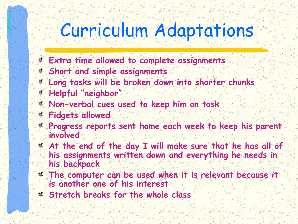### Curriculum Adaptations

- **Extra time allowed to complete assignments**
- **Short and simple assignments**
- **Long tasks will be broken down into shorter chunks**
- **Helpful "neighbor"**
- **Non-verbal cues used to keep him on task**
- **Fidgets allowed**
- **Progress reports sent home each week to keep his parent involved**
- **At the end of the day I will make sure that he has all of his assignments written down and everything he needs in his backpack**
- **The computer can be used when it is relevant because it is another one of his interest**
- **Stretch breaks for the whole class**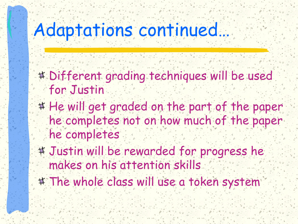#### Adaptations continued…

- Different grading techniques will be used for Justin
- # He will get graded on the part of the paper he completes not on how much of the paper he completes
- Justin will be rewarded for progress he makes on his attention skills
- # The whole class will use a token system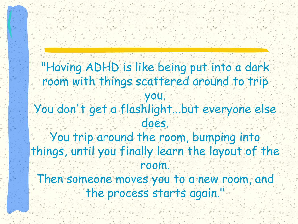"Having ADHD is like being put into a dark room with things scattered around to trip you. You don't get a flashlight...but everyone else does. You trip around the room, bumping into things, until you finally learn the layout of the room. Then someone moves you to a new room, and the process starts again.'